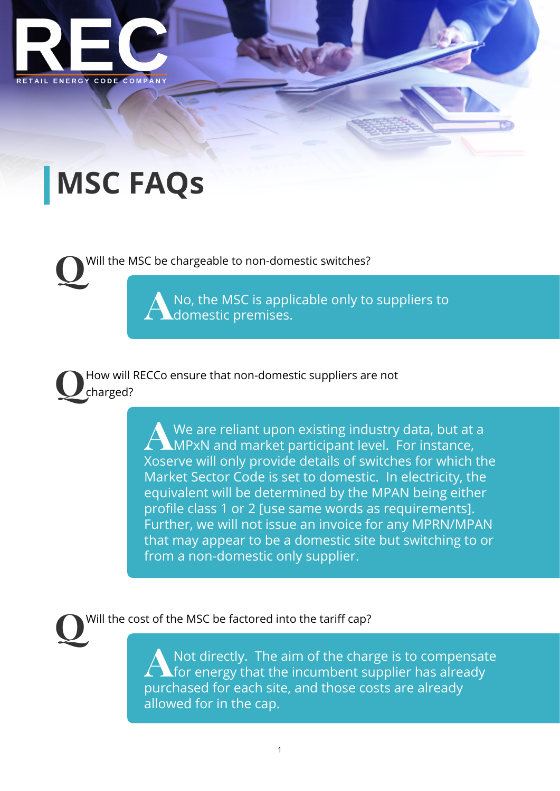

## **MSC FAQs**

**Q**Will the MSC be chargeable to non-domestic switches?

**A**No, the MSC is applicable only to suppliers to domestic premises.

**Q**How will RECCo ensure that non-domestic suppliers are not charged?

> **A**We are reliant upon existing industry data, but at a **MPxN and market participant level. For instance,** Xoserve will only provide details of switches for which the Market Sector Code is set to domestic. In electricity, the equivalent will be determined by the MPAN being either profile class 1 or 2 [use same words as requirements]. Further, we will not issue an invoice for any MPRN/MPAN that may appear to be a domestic site but switching to or from a non-domestic only supplier.

**Q**Will the cost of the MSC be factored into the tariff cap?

**A**Not directly. The aim of the charge is to compensate for energy that the incumbent supplier has already purchased for each site, and those costs are already allowed for in the cap.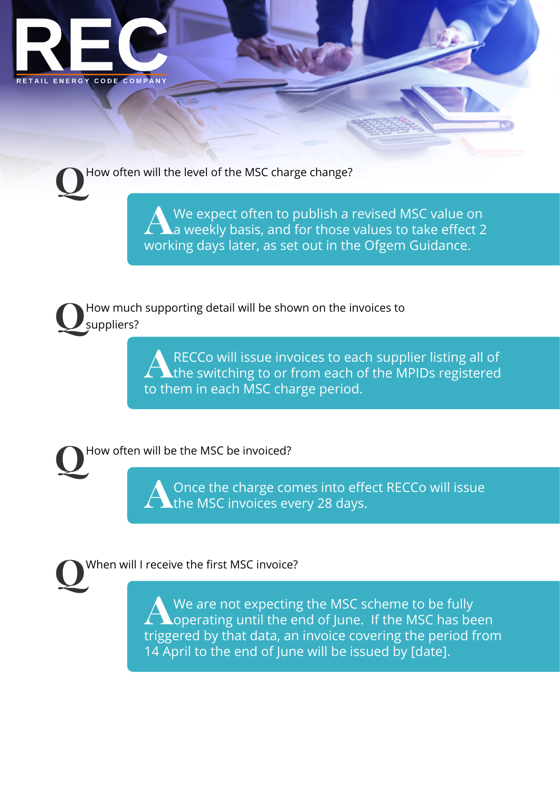

How often will the level of the MSC charge change?

We expect often to publish a revised MSC value on<br>a weekly basis, and for those values to take effect 2 working days later, as set out in the Ofgem Guidance.

**Q**How much supporting detail will be shown on the invoices to suppliers?

> **A**RECCo will issue invoices to each supplier listing all of the switching to or from each of the MPIDs registered to them in each MSC charge period.

**Q**How often will be the MSC be invoiced?

**A**Once the charge comes into effect RECCo will issue the MSC invoices every 28 days.

**Q**When will I receive the first MSC invoice?

**A**We are not expecting the MSC scheme to be fully operating until the end of June. If the MSC has been triggered by that data, an invoice covering the period from 14 April to the end of June will be issued by [date].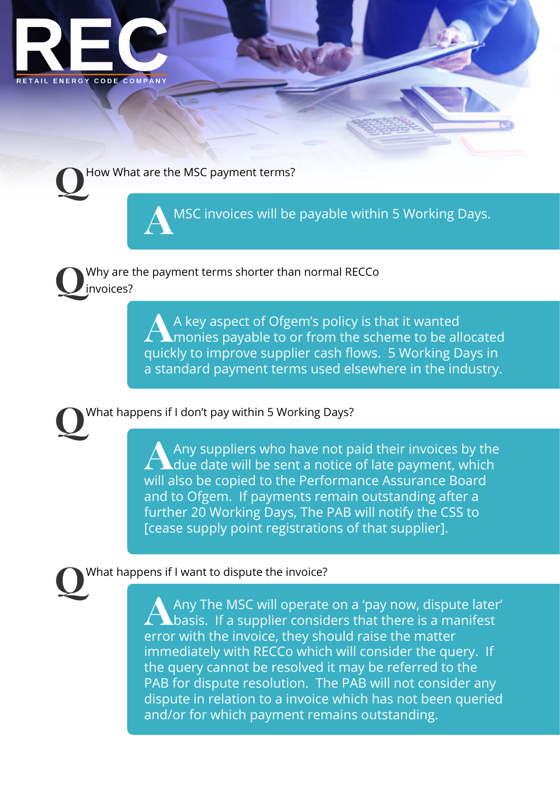



**A**MSC invoices will be payable within 5 Working Days.

**Q**Why are the payment terms shorter than normal RECCo invoices?

> **A** A key aspect of Ofgem's policy is that it wanted<br>
> monies payable to or from the scheme to be allocated quickly to improve supplier cash flows. 5 Working Days in a standard payment terms used elsewhere in the industry.

**Q**What happens if I don't pay within 5 Working Days?

Any suppliers who have not paid their invoices by the<br>due date will be sent a notice of late payment, which will also be copied to the Performance Assurance Board and to Ofgem. If payments remain outstanding after a further 20 Working Days, The PAB will notify the CSS to [cease supply point registrations of that supplier].

## **Q**What happens if I want to dispute the invoice?

**A**Any The MSC will operate on a 'pay now, dispute later' basis. If a supplier considers that there is a manifest error with the invoice, they should raise the matter immediately with RECCo which will consider the query. If the query cannot be resolved it may be referred to the PAB for dispute resolution. The PAB will not consider any dispute in relation to a invoice which has not been queried and/or for which payment remains outstanding.